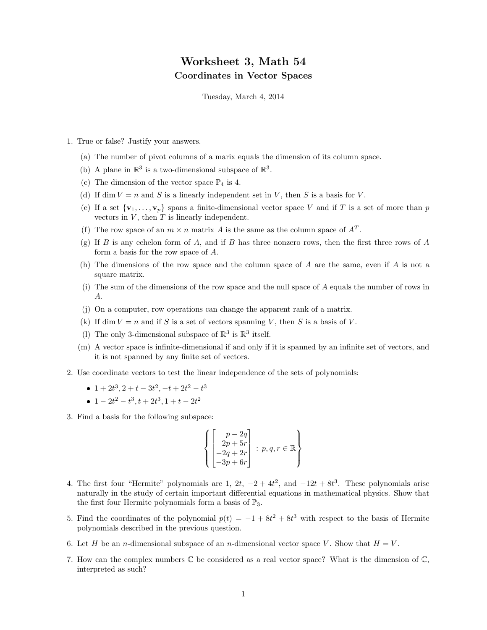## Worksheet 3, Math 54 Coordinates in Vector Spaces

Tuesday, March 4, 2014

- 1. True or false? Justify your answers.
	- (a) The number of pivot columns of a marix equals the dimension of its column space.
	- (b) A plane in  $\mathbb{R}^3$  is a two-dimensional subspace of  $\mathbb{R}^3$ .
	- (c) The dimension of the vector space  $\mathbb{P}_4$  is 4.
	- (d) If dim  $V = n$  and S is a linearly independent set in V, then S is a basis for V.
	- (e) If a set  $\{v_1, \ldots, v_p\}$  spans a finite-dimensional vector space V and if T is a set of more than p vectors in  $V$ , then  $T$  is linearly independent.
	- (f) The row space of an  $m \times n$  matrix A is the same as the column space of  $A<sup>T</sup>$ .
	- (g) If B is any echelon form of A, and if B has three nonzero rows, then the first three rows of A form a basis for the row space of A.
	- (h) The dimensions of the row space and the column space of A are the same, even if A is not a square matrix.
	- (i) The sum of the dimensions of the row space and the null space of A equals the number of rows in A.
	- (j) On a computer, row operations can change the apparent rank of a matrix.
	- (k) If dim  $V = n$  and if S is a set of vectors spanning V, then S is a basis of V.
	- (1) The only 3-dimensional subspace of  $\mathbb{R}^3$  is  $\mathbb{R}^3$  itself.
	- (m) A vector space is infinite-dimensional if and only if it is spanned by an infinite set of vectors, and it is not spanned by any finite set of vectors.
- 2. Use coordinate vectors to test the linear independence of the sets of polynomials:
	- $1+2t^3$ ,  $2+t-3t^2$ ,  $-t+2t^2-t^3$
	- $1 2t^2 t^3, t + 2t^3, 1 + t 2t^2$
- 3. Find a basis for the following subspace:

$$
\left\{ \begin{bmatrix} p - 2q \\ 2p + 5r \\ -2q + 2r \\ -3p + 6r \end{bmatrix} : p, q, r \in \mathbb{R} \right\}
$$

- 4. The first four "Hermite" polynomials are 1,  $2t$ ,  $-2 + 4t^2$ , and  $-12t + 8t^3$ . These polynomials arise naturally in the study of certain important differential equations in mathematical physics. Show that the first four Hermite polynomials form a basis of  $\mathbb{P}_3$ .
- 5. Find the coordinates of the polynomial  $p(t) = -1 + 8t^2 + 8t^3$  with respect to the basis of Hermite polynomials described in the previous question.
- 6. Let H be an n-dimensional subspace of an n-dimensional vector space V. Show that  $H = V$ .
- 7. How can the complex numbers  $\mathbb C$  be considered as a real vector space? What is the dimension of  $\mathbb C$ , interpreted as such?